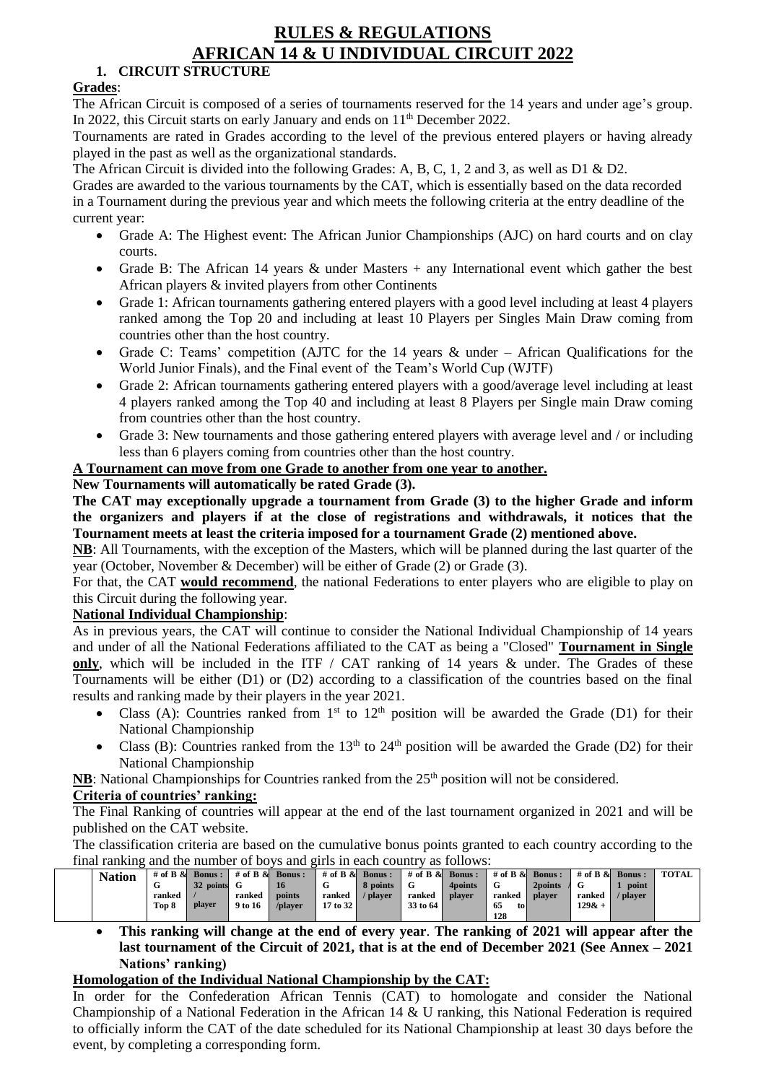# **RULES & REGULATIONS AFRICAN 14 & U INDIVIDUAL CIRCUIT 2022**

## **1. CIRCUIT STRUCTURE**

## **Grades**:

The African Circuit is composed of a series of tournaments reserved for the 14 years and under age's group. In 2022, this Circuit starts on early January and ends on 11<sup>th</sup> December 2022.

Tournaments are rated in Grades according to the level of the previous entered players or having already played in the past as well as the organizational standards.

The African Circuit is divided into the following Grades: A, B, C, 1, 2 and 3, as well as D1 & D2.

Grades are awarded to the various tournaments by the CAT, which is essentially based on the data recorded in a Tournament during the previous year and which meets the following criteria at the entry deadline of the current year:

- Grade A: The Highest event: The African Junior Championships (AJC) on hard courts and on clay courts.
- Grade B: The African 14 years  $\&$  under Masters + any International event which gather the best African players & invited players from other Continents
- Grade 1: African tournaments gathering entered players with a good level including at least 4 players ranked among the Top 20 and including at least 10 Players per Singles Main Draw coming from countries other than the host country.
- Grade C: Teams' competition (AJTC for the 14 years  $\&$  under African Qualifications for the World Junior Finals), and the Final event of the Team's World Cup (WJTF)
- Grade 2: African tournaments gathering entered players with a good/average level including at least 4 players ranked among the Top 40 and including at least 8 Players per Single main Draw coming from countries other than the host country.
- Grade 3: New tournaments and those gathering entered players with average level and / or including less than 6 players coming from countries other than the host country.

## **A Tournament can move from one Grade to another from one year to another.**

## **New Tournaments will automatically be rated Grade (3).**

**The CAT may exceptionally upgrade a tournament from Grade (3) to the higher Grade and inform the organizers and players if at the close of registrations and withdrawals, it notices that the Tournament meets at least the criteria imposed for a tournament Grade (2) mentioned above.**

**NB**: All Tournaments, with the exception of the Masters, which will be planned during the last quarter of the year (October, November & December) will be either of Grade (2) or Grade (3).

For that, the CAT **would recommend**, the national Federations to enter players who are eligible to play on this Circuit during the following year.

## **National Individual Championship**:

As in previous years, the CAT will continue to consider the National Individual Championship of 14 years and under of all the National Federations affiliated to the CAT as being a "Closed" **Tournament in Single only**, which will be included in the ITF / CAT ranking of 14 years & under. The Grades of these Tournaments will be either (D1) or (D2) according to a classification of the countries based on the final results and ranking made by their players in the year 2021.

- Class (A): Countries ranked from  $1<sup>st</sup>$  to  $12<sup>th</sup>$  position will be awarded the Grade (D1) for their National Championship
- Class (B): Countries ranked from the  $13<sup>th</sup>$  to  $24<sup>th</sup>$  position will be awarded the Grade (D2) for their National Championship

NB: National Championships for Countries ranked from the 25<sup>th</sup> position will not be considered.

## **Criteria of countries' ranking:**

The Final Ranking of countries will appear at the end of the last tournament organized in 2021 and will be published on the CAT website.

The classification criteria are based on the cumulative bonus points granted to each country according to the final ranking and the number of boys and girls in each country as follows:

| <b>Nation</b> |        | # of B & Bonus: | # of B $\&$ | <b>Bonus:</b> |                 | # of B & Bonus: |          | # of B & Bonus: |          | # of B & Bonus: | # of B $\&$ | <b>Bonus:</b> | TOTAL |
|---------------|--------|-----------------|-------------|---------------|-----------------|-----------------|----------|-----------------|----------|-----------------|-------------|---------------|-------|
|               |        | 32 points       | - G         | 16            |                 | 8 points        |          | 4 <i>points</i> |          | 2 points        | - G         | point         |       |
|               | ranked |                 | ranked      | points        | ranked          | ' plaver        | ranked   | player          | ranked   | player          | ranked      | <b>blaver</b> |       |
|               | Top 8  | player          | 9 to 16     | /player       | $17$ to $32$ s. |                 | 33 to 64 |                 | 65<br>to |                 | $129&+$     |               |       |
|               |        |                 |             |               |                 |                 |          |                 | 128      |                 |             |               |       |

 **This ranking will change at the end of every year**. **The ranking of 2021 will appear after the last tournament of the Circuit of 2021, that is at the end of December 2021 (See Annex – 2021 Nations' ranking)** 

## **Homologation of the Individual National Championship by the CAT:**

In order for the Confederation African Tennis (CAT) to homologate and consider the National Championship of a National Federation in the African 14 & U ranking, this National Federation is required to officially inform the CAT of the date scheduled for its National Championship at least 30 days before the event, by completing a corresponding form.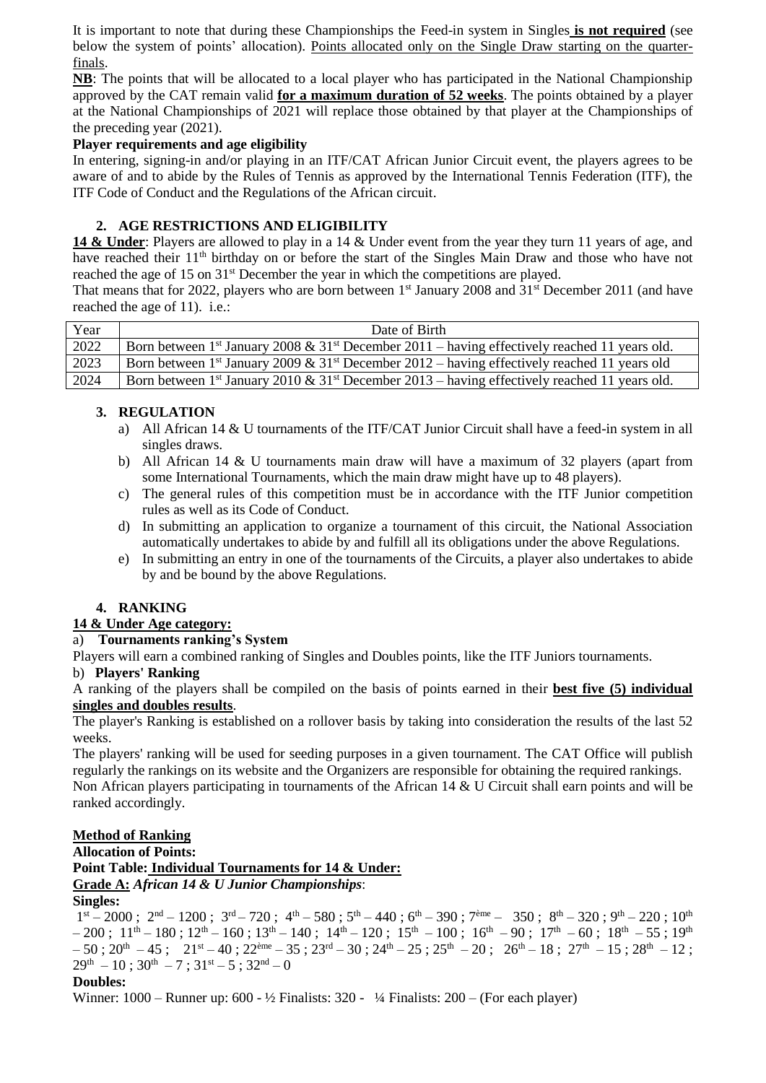It is important to note that during these Championships the Feed-in system in Singles **is not required** (see below the system of points' allocation). Points allocated only on the Single Draw starting on the quarterfinals.

**NB**: The points that will be allocated to a local player who has participated in the National Championship approved by the CAT remain valid **for a maximum duration of 52 weeks**. The points obtained by a player at the National Championships of 2021 will replace those obtained by that player at the Championships of the preceding year (2021).

### **Player requirements and age eligibility**

In entering, signing-in and/or playing in an ITF/CAT African Junior Circuit event, the players agrees to be aware of and to abide by the Rules of Tennis as approved by the International Tennis Federation (ITF), the ITF Code of Conduct and the Regulations of the African circuit.

## **2. AGE RESTRICTIONS AND ELIGIBILITY**

**14 & Under**: Players are allowed to play in a 14 & Under event from the year they turn 11 years of age, and have reached their 11<sup>th</sup> birthday on or before the start of the Singles Main Draw and those who have not reached the age of 15 on 31<sup>st</sup> December the year in which the competitions are played.

That means that for 2022, players who are born between  $1<sup>st</sup>$  January 2008 and  $31<sup>st</sup>$  December 2011 (and have reached the age of 11). i.e.:

| Year | Date of Birth                                                                                                         |
|------|-----------------------------------------------------------------------------------------------------------------------|
| 2022 | Born between 1 <sup>st</sup> January 2008 & 31 <sup>st</sup> December 2011 – having effectively reached 11 years old. |
| 2023 | Born between 1 <sup>st</sup> January 2009 & 31 <sup>st</sup> December 2012 – having effectively reached 11 years old  |
| 2024 | Born between 1 <sup>st</sup> January 2010 & 31 <sup>st</sup> December 2013 – having effectively reached 11 years old. |

## **3. REGULATION**

- a) All African 14 & U tournaments of the ITF/CAT Junior Circuit shall have a feed-in system in all singles draws.
- b) All African 14 & U tournaments main draw will have a maximum of 32 players (apart from some International Tournaments, which the main draw might have up to 48 players).
- c) The general rules of this competition must be in accordance with the ITF Junior competition rules as well as its Code of Conduct.
- d) In submitting an application to organize a tournament of this circuit, the National Association automatically undertakes to abide by and fulfill all its obligations under the above Regulations.
- e) In submitting an entry in one of the tournaments of the Circuits, a player also undertakes to abide by and be bound by the above Regulations.

## **4. RANKING**

## **14 & Under Age category:**

## a) **Tournaments ranking's System**

Players will earn a combined ranking of Singles and Doubles points, like the ITF Juniors tournaments.

#### b) **Players' Ranking**

A ranking of the players shall be compiled on the basis of points earned in their **best five (5) individual singles and doubles results**.

The player's Ranking is established on a rollover basis by taking into consideration the results of the last 52 weeks.

The players' ranking will be used for seeding purposes in a given tournament. The CAT Office will publish regularly the rankings on its website and the Organizers are responsible for obtaining the required rankings.

Non African players participating in tournaments of the African 14 & U Circuit shall earn points and will be ranked accordingly.

## **Method of Ranking**

**Allocation of Points:** 

## **Point Table: Individual Tournaments for 14 & Under:**

## **Grade A:** *African 14 & U Junior Championships*:

**Singles:**

 $1^{st} - 2000$ ;  $2^{nd} - 1200$ ;  $3^{rd} - 720$ ;  $4^{th} - 580$ ;  $5^{th} - 440$ ;  $6^{th} - 390$ ;  $7^{eme} - 350$ ;  $8^{th} - 320$ ;  $9^{th} - 220$ ;  $10^{th}$  $-200$ ;  $11^{\text{th}} - 180$ ;  $12^{\text{th}} - 160$ ;  $13^{\text{th}} - 140$ ;  $14^{\text{th}} - 120$ ;  $15^{\text{th}} - 100$ ;  $16^{\text{th}} - 90$ ;  $17^{\text{th}} - 60$ ;  $18^{\text{th}} - 55$ ;  $19^{\text{th}}$  $-50$ ;  $20^{th} - 45$ ;  $21^{st} - 40$ ;  $22^{eme} - 35$ ;  $23^{rd} - 30$ ;  $24^{th} - 25$ ;  $25^{th} - 20$ ;  $26^{th} - 18$ ;  $27^{th} - 15$ ;  $28^{th} - 12$ ;  $29^{\text{th}} - 10$ ;  $30^{\text{th}} - 7$ ;  $31^{\text{st}} - 5$ ;  $32^{\text{nd}} - 0$ 

## **Doubles:**

Winner: 1000 – Runner up: 600 - ½ Finalists: 320 - ¼ Finalists: 200 – (For each player)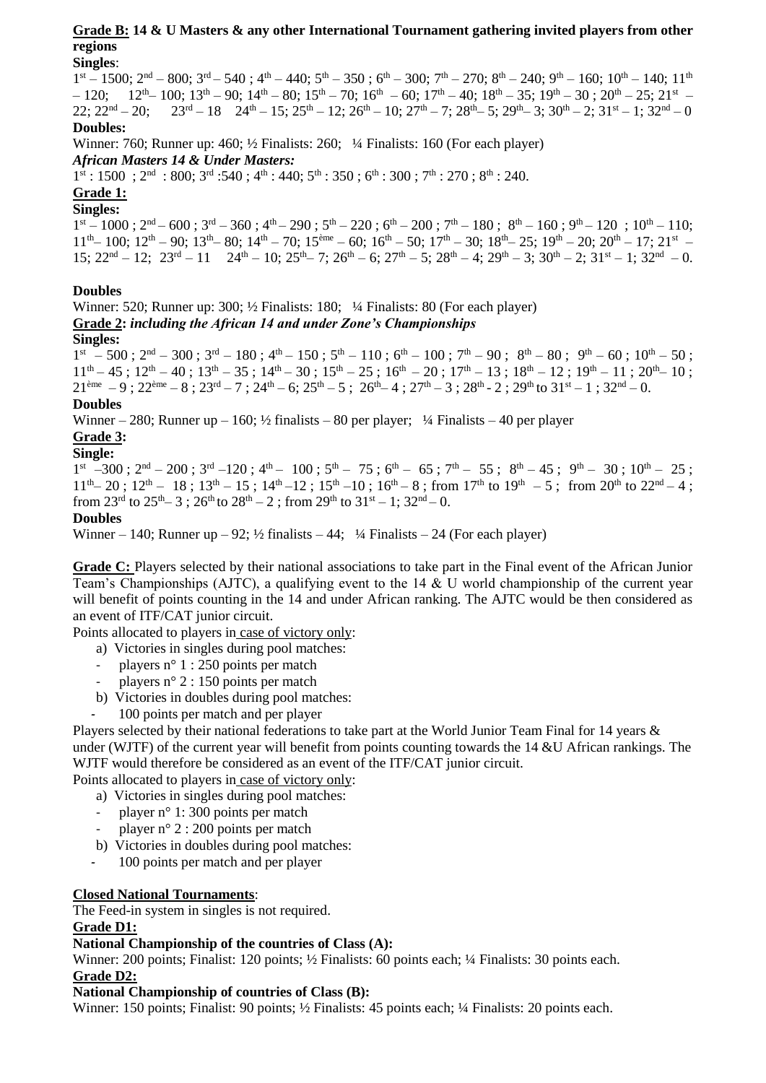#### **Grade B: 14 & U Masters & any other International Tournament gathering invited players from other regions Singles**:

 $1<sup>st</sup> - 1500$ ;  $2<sup>nd</sup> - 800$ ;  $3<sup>rd</sup> - 540$ ;  $4<sup>th</sup> - 440$ ;  $5<sup>th</sup> - 350$ ;  $6<sup>th</sup> - 300$ ;  $7<sup>th</sup> - 270$ ;  $8<sup>th</sup> - 240$ ;  $9<sup>th</sup> - 160$ ;  $10<sup>th</sup> - 140$ ;  $11<sup>th</sup>$  $-120$ ;  $12$ <sup>th</sup>  $-100$ ;  $13$ <sup>th</sup>  $-90$ ;  $14$ <sup>th</sup>  $-80$ ;  $15$ <sup>th</sup>  $-70$ ;  $16$ <sup>th</sup>  $-60$ ;  $17$ <sup>th</sup>  $-40$ ;  $18$ <sup>th</sup>  $-35$ ;  $19$ <sup>th</sup>  $-30$ ;  $20$ <sup>th</sup>  $-25$ ;  $21$ <sup>st</sup>  $22; 22^{nd} - 20; 23^{rd} - 18$   $24^{th} - 15; 25^{th} - 12; 26^{th} - 10; 27^{th} - 7; 28^{th} - 5; 29^{th} - 3; 30^{th} - 2; 31^{st} - 1; 32^{nd} - 0$ 

## **Doubles:**

Winner: 760; Runner up: 460; ½ Finalists: 260; ¼ Finalists: 160 (For each player)

#### *African Masters 14 & Under Masters:*

 $1<sup>st</sup>$ : 1500 ;  $2<sup>nd</sup>$  : 800;  $3<sup>rd</sup>$ :540;  $4<sup>th</sup>$ : 440;  $5<sup>th</sup>$ : 350;  $6<sup>th</sup>$ : 300;  $7<sup>th</sup>$ : 270;  $8<sup>th</sup>$ : 240.

## **Grade 1:**

**Singles:**

 $1<sup>st</sup> - 1000$ ;  $2<sup>nd</sup> - 600$ ;  $3<sup>rd</sup> - 360$ ;  $4<sup>th</sup> - 290$ ;  $5<sup>th</sup> - 220$ ;  $6<sup>th</sup> - 200$ ;  $7<sup>th</sup> - 180$ ;  $8<sup>th</sup> - 160$ ;  $9<sup>th</sup> - 120$ ;  $10<sup>th</sup> - 110$ ;  $11<sup>th</sup>$   $- 100$ ;  $12<sup>th</sup>$   $- 90$ ;  $13<sup>th</sup>$   $- 80$ ;  $14<sup>th</sup>$   $- 70$ ;  $15<sup>eme</sup>$   $- 60$ ;  $16<sup>th</sup>$   $- 50$ ;  $17<sup>th</sup>$   $- 30$ ;  $18<sup>th</sup>$   $- 25$ ;  $19<sup>th</sup>$   $- 20$ ;  $20<sup>th</sup>$   $- 17$ ;  $21<sup>st</sup>$   $- 17$ 15;  $22^{nd} - 12$ ;  $23^{rd} - 11$   $24^{th} - 10$ ;  $25^{th} - 7$ ;  $26^{th} - 6$ ;  $27^{th} - 5$ ;  $28^{th} - 4$ ;  $29^{th} - 3$ ;  $30^{th} - 2$ ;  $31^{st} - 1$ ;  $32^{nd} - 0$ .

### **Doubles**

Winner: 520; Runner up: 300; ½ Finalists: 180; ¼ Finalists: 80 (For each player) **Grade 2:** *including the African 14 and under Zone's Championships*

### **Singles:**

 $1^{\text{st}}$  - 500;  $2^{\text{nd}}$  - 300;  $3^{\text{rd}}$  - 180;  $4^{\text{th}}$  - 150;  $5^{\text{th}}$  - 110;  $6^{\text{th}}$  - 100;  $7^{\text{th}}$  - 90;  $8^{\text{th}}$  - 80;  $9^{\text{th}}$  - 60;  $10^{\text{th}}$  - 50;  $11^{th} - 45$ ;  $12^{th} - 40$ ;  $13^{th} - 35$ ;  $14^{th} - 30$ ;  $15^{th} - 25$ ;  $16^{th} - 20$ ;  $17^{th} - 13$ ;  $18^{th} - 12$ ;  $19^{th} - 11$ ;  $20^{th} - 10$ ;  $21^{\text{ème}} - 9$ ;  $22^{\text{ème}} - 8$ ;  $23^{\text{rd}} - 7$ ;  $24^{\text{th}} - 6$ ;  $25^{\text{th}} - 5$ ;  $26^{\text{th}} - 4$ ;  $27^{\text{th}} - 3$ ;  $28^{\text{th}} - 2$ ;  $29^{\text{th}}$  to  $31^{\text{st}} - 1$ ;  $32^{\text{nd}} - 0$ .

### **Doubles**

Winner – 280; Runner up – 160;  $\frac{1}{2}$  finalists – 80 per player;  $\frac{1}{4}$  Finalists – 40 per player

# **Grade 3:**

#### **Single:**

 $1^{st}$  -300;  $2^{nd}$  - 200;  $3^{rd}$  -120;  $4^{th}$  - 100;  $5^{th}$  - 75;  $6^{th}$  - 65;  $7^{th}$  - 55;  $8^{th}$  - 45;  $9^{th}$  - 30;  $10^{th}$  - 25;  $11^{th}$  – 20;  $12^{th}$  – 18;  $13^{th}$  – 15;  $14^{th}$  – 12;  $15^{th}$  – 10;  $16^{th}$  – 8; from  $17^{th}$  to  $19^{th}$  – 5; from  $20^{th}$  to  $22^{nd}$  – 4; from 23<sup>rd</sup> to 25<sup>th</sup> – 3 ; 26<sup>th</sup> to 28<sup>th</sup> – 2 ; from 29<sup>th</sup> to 31<sup>st</sup> – 1; 32<sup>nd</sup> – 0.

## **Doubles**

Winner – 140; Runner up – 92;  $\frac{1}{2}$  finalists – 44;  $\frac{1}{4}$  Finalists – 24 (For each player)

**Grade C:** Players selected by their national associations to take part in the Final event of the African Junior Team's Championships (AJTC), a qualifying event to the 14 & U world championship of the current year will benefit of points counting in the 14 and under African ranking. The AJTC would be then considered as an event of ITF/CAT junior circuit.

Points allocated to players in case of victory only:

- a) Victories in singles during pool matches:
- players n° 1 : 250 points per match
- players n° 2 : 150 points per match
- b) Victories in doubles during pool matches:
- 100 points per match and per player

Players selected by their national federations to take part at the World Junior Team Final for 14 years & under (WJTF) of the current year will benefit from points counting towards the 14 &U African rankings. The WJTF would therefore be considered as an event of the ITF/CAT junior circuit.

Points allocated to players in case of victory only:

- a) Victories in singles during pool matches:
- player n° 1:300 points per match
- player n° 2 : 200 points per match
- b) Victories in doubles during pool matches:
- 100 points per match and per player

## **Closed National Tournaments**:

The Feed-in system in singles is not required.

#### **Grade D1:**

## **National Championship of the countries of Class (A):**

Winner: 200 points; Finalist: 120 points; ½ Finalists: 60 points each; ¼ Finalists: 30 points each. **Grade D2:**

#### **National Championship of countries of Class (B):**

Winner: 150 points; Finalist: 90 points; ½ Finalists: 45 points each; ¼ Finalists: 20 points each.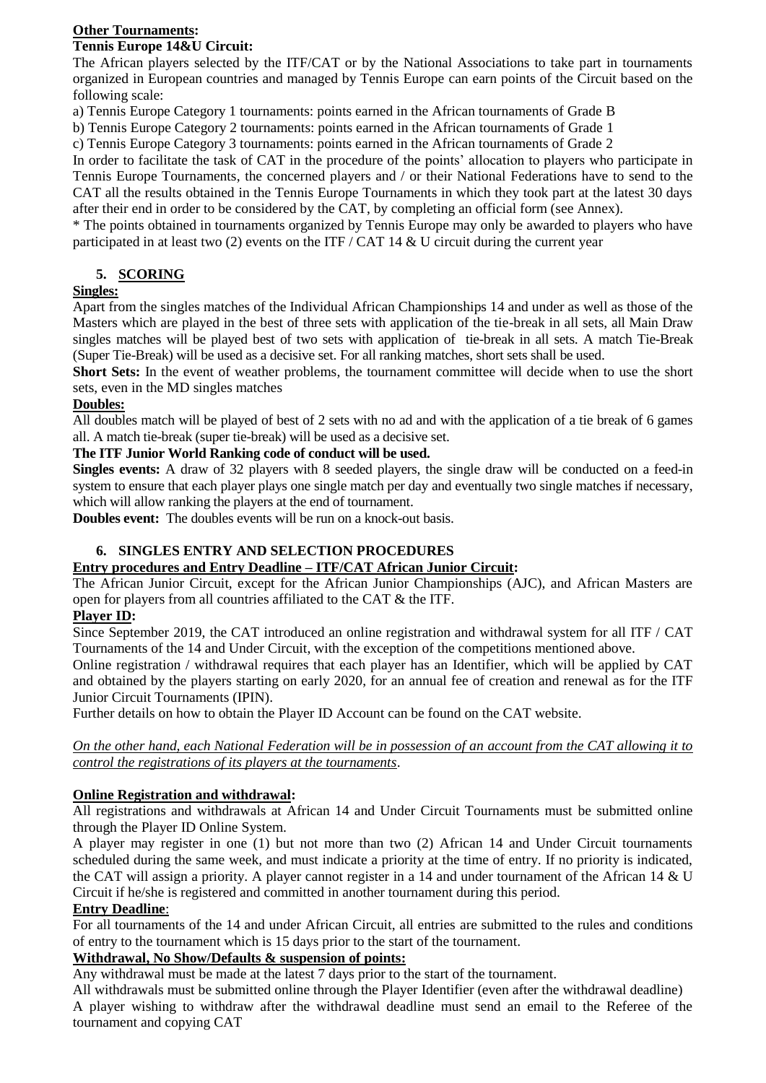# **Other Tournaments:**

## **Tennis Europe 14&U Circuit:**

The African players selected by the ITF/CAT or by the National Associations to take part in tournaments organized in European countries and managed by Tennis Europe can earn points of the Circuit based on the following scale:

a) Tennis Europe Category 1 tournaments: points earned in the African tournaments of Grade B

b) Tennis Europe Category 2 tournaments: points earned in the African tournaments of Grade 1

c) Tennis Europe Category 3 tournaments: points earned in the African tournaments of Grade 2

In order to facilitate the task of CAT in the procedure of the points' allocation to players who participate in Tennis Europe Tournaments, the concerned players and / or their National Federations have to send to the CAT all the results obtained in the Tennis Europe Tournaments in which they took part at the latest 30 days after their end in order to be considered by the CAT, by completing an official form (see Annex).

\* The points obtained in tournaments organized by Tennis Europe may only be awarded to players who have participated in at least two (2) events on the ITF / CAT 14  $\&$  U circuit during the current year

## **5. SCORING**

## **Singles:**

Apart from the singles matches of the Individual African Championships 14 and under as well as those of the Masters which are played in the best of three sets with application of the tie-break in all sets, all Main Draw singles matches will be played best of two sets with application of tie-break in all sets. A match Tie-Break (Super Tie-Break) will be used as a decisive set. For all ranking matches, short sets shall be used.

Short Sets: In the event of weather problems, the tournament committee will decide when to use the short sets, even in the MD singles matches

## **Doubles:**

All doubles match will be played of best of 2 sets with no ad and with the application of a tie break of 6 games all. A match tie-break (super tie-break) will be used as a decisive set.

## **The ITF Junior World Ranking code of conduct will be used.**

**Singles events:** A draw of 32 players with 8 seeded players, the single draw will be conducted on a feed-in system to ensure that each player plays one single match per day and eventually two single matches if necessary, which will allow ranking the players at the end of tournament.

**Doubles event:** The doubles events will be run on a knock-out basis.

## **6. SINGLES ENTRY AND SELECTION PROCEDURES**

## **Entry procedures and Entry Deadline – ITF/CAT African Junior Circuit:**

The African Junior Circuit, except for the African Junior Championships (AJC), and African Masters are open for players from all countries affiliated to the CAT & the ITF.

## **Player ID:**

Since September 2019, the CAT introduced an online registration and withdrawal system for all ITF / CAT Tournaments of the 14 and Under Circuit, with the exception of the competitions mentioned above.

Online registration / withdrawal requires that each player has an Identifier, which will be applied by CAT and obtained by the players starting on early 2020, for an annual fee of creation and renewal as for the ITF Junior Circuit Tournaments (IPIN).

Further details on how to obtain the Player ID Account can be found on the CAT website.

### *On the other hand, each National Federation will be in possession of an account from the CAT allowing it to control the registrations of its players at the tournaments*.

## **Online Registration and withdrawal:**

All registrations and withdrawals at African 14 and Under Circuit Tournaments must be submitted online through the Player ID Online System.

A player may register in one (1) but not more than two (2) African 14 and Under Circuit tournaments scheduled during the same week, and must indicate a priority at the time of entry. If no priority is indicated, the CAT will assign a priority. A player cannot register in a 14 and under tournament of the African 14 & U Circuit if he/she is registered and committed in another tournament during this period.

## **Entry Deadline**:

For all tournaments of the 14 and under African Circuit, all entries are submitted to the rules and conditions of entry to the tournament which is 15 days prior to the start of the tournament.

## **Withdrawal, No Show/Defaults & suspension of points:**

Any withdrawal must be made at the latest 7 days prior to the start of the tournament.

All withdrawals must be submitted online through the Player Identifier (even after the withdrawal deadline) A player wishing to withdraw after the withdrawal deadline must send an email to the Referee of the tournament and copying CAT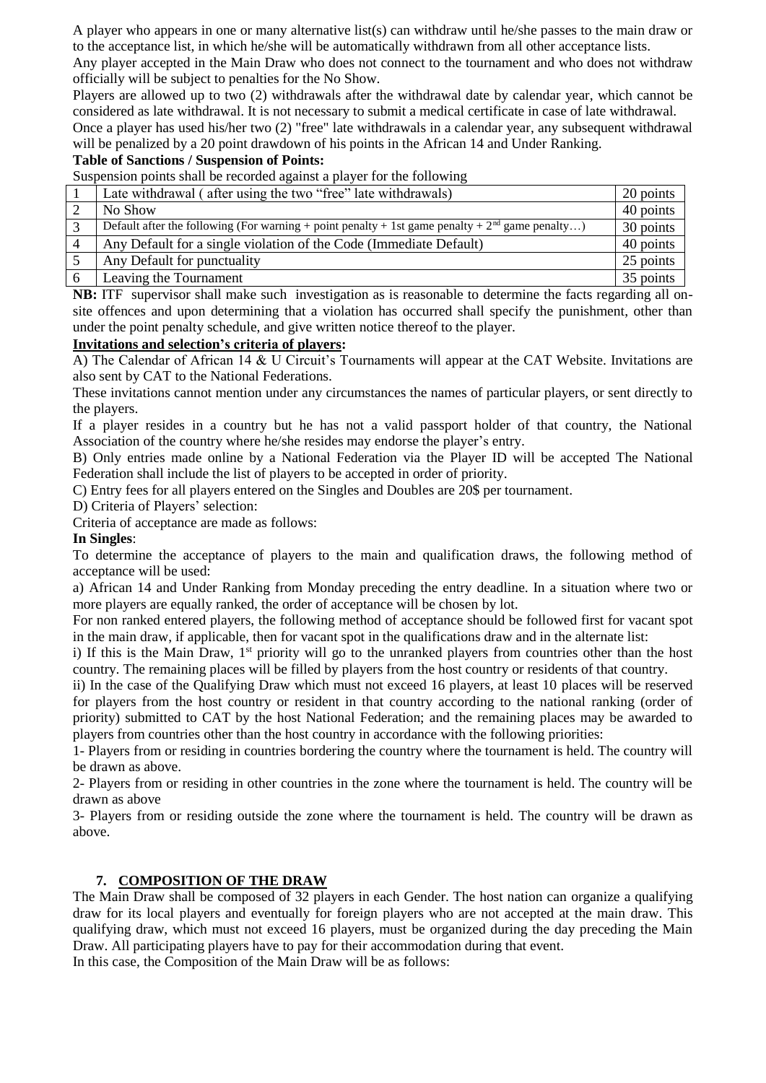A player who appears in one or many alternative list(s) can withdraw until he/she passes to the main draw or to the acceptance list, in which he/she will be automatically withdrawn from all other acceptance lists.

Any player accepted in the Main Draw who does not connect to the tournament and who does not withdraw officially will be subject to penalties for the No Show.

Players are allowed up to two (2) withdrawals after the withdrawal date by calendar year, which cannot be considered as late withdrawal. It is not necessary to submit a medical certificate in case of late withdrawal.

Once a player has used his/her two (2) "free" late withdrawals in a calendar year, any subsequent withdrawal will be penalized by a 20 point drawdown of his points in the African 14 and Under Ranking.

## **Table of Sanctions / Suspension of Points:**

Suspension points shall be recorded against a player for the following

| Late withdrawal (after using the two "free" late withdrawals)                                     |           |  |
|---------------------------------------------------------------------------------------------------|-----------|--|
| No Show                                                                                           | 40 points |  |
| Default after the following (For warning + point penalty + 1st game penalty + $2nd$ game penalty) | 30 points |  |
| Any Default for a single violation of the Code (Immediate Default)                                | 40 points |  |
| Any Default for punctuality                                                                       | 25 points |  |
| Leaving the Tournament                                                                            | 35 points |  |

**NB:** ITF supervisor shall make such investigation as is reasonable to determine the facts regarding all onsite offences and upon determining that a violation has occurred shall specify the punishment, other than under the point penalty schedule, and give written notice thereof to the player.

### **Invitations and selection's criteria of players:**

A) The Calendar of African 14 & U Circuit's Tournaments will appear at the CAT Website. Invitations are also sent by CAT to the National Federations.

These invitations cannot mention under any circumstances the names of particular players, or sent directly to the players.

If a player resides in a country but he has not a valid passport holder of that country, the National Association of the country where he/she resides may endorse the player's entry.

B) Only entries made online by a National Federation via the Player ID will be accepted The National Federation shall include the list of players to be accepted in order of priority.

C) Entry fees for all players entered on the Singles and Doubles are 20\$ per tournament.

D) Criteria of Players' selection:

Criteria of acceptance are made as follows:

#### **In Singles**:

To determine the acceptance of players to the main and qualification draws, the following method of acceptance will be used:

a) African 14 and Under Ranking from Monday preceding the entry deadline. In a situation where two or more players are equally ranked, the order of acceptance will be chosen by lot.

For non ranked entered players, the following method of acceptance should be followed first for vacant spot in the main draw, if applicable, then for vacant spot in the qualifications draw and in the alternate list:

i) If this is the Main Draw,  $1<sup>st</sup>$  priority will go to the unranked players from countries other than the host country. The remaining places will be filled by players from the host country or residents of that country.

ii) In the case of the Qualifying Draw which must not exceed 16 players, at least 10 places will be reserved for players from the host country or resident in that country according to the national ranking (order of priority) submitted to CAT by the host National Federation; and the remaining places may be awarded to players from countries other than the host country in accordance with the following priorities:

1- Players from or residing in countries bordering the country where the tournament is held. The country will be drawn as above.

2- Players from or residing in other countries in the zone where the tournament is held. The country will be drawn as above

3- Players from or residing outside the zone where the tournament is held. The country will be drawn as above.

## **7. COMPOSITION OF THE DRAW**

The Main Draw shall be composed of 32 players in each Gender. The host nation can organize a qualifying draw for its local players and eventually for foreign players who are not accepted at the main draw. This qualifying draw, which must not exceed 16 players, must be organized during the day preceding the Main Draw. All participating players have to pay for their accommodation during that event.

In this case, the Composition of the Main Draw will be as follows: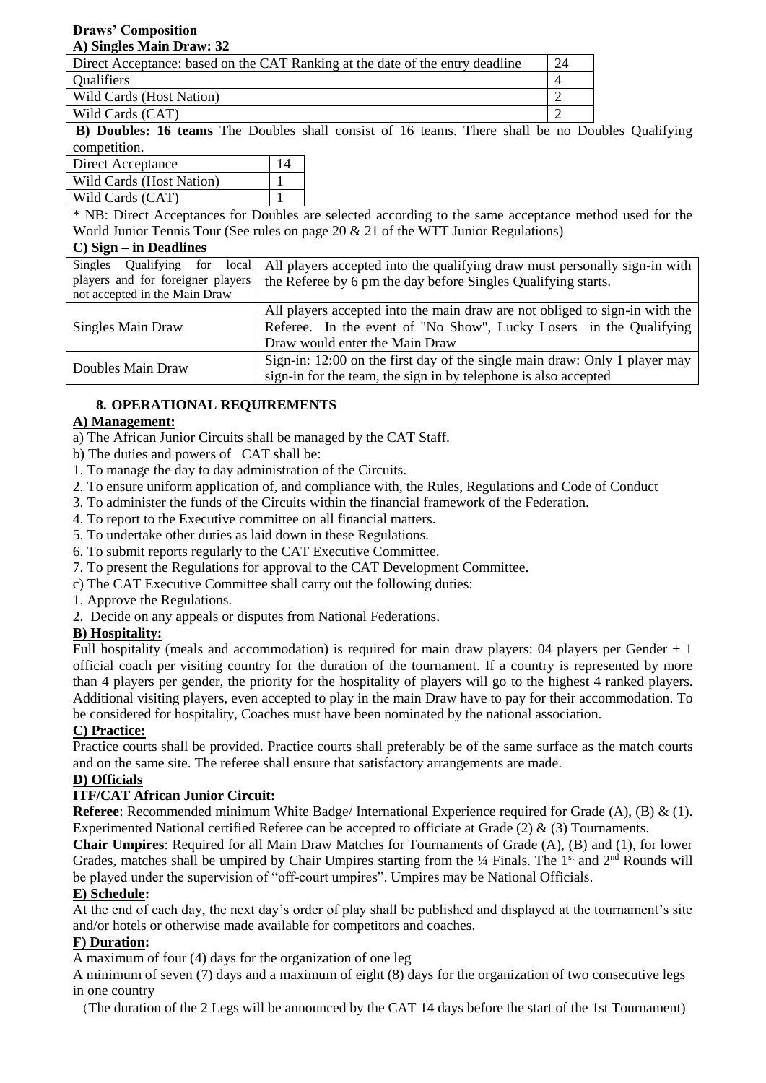#### **Draws' Composition A) Singles Main Draw: 32**

| Direct Acceptance: based on the CAT Ranking at the date of the entry deadline |  |  |  |  |
|-------------------------------------------------------------------------------|--|--|--|--|
| Qualifiers                                                                    |  |  |  |  |
| Wild Cards (Host Nation)                                                      |  |  |  |  |
| Wild Cards (CAT)                                                              |  |  |  |  |

**B) Doubles: 16 teams** The Doubles shall consist of 16 teams. There shall be no Doubles Qualifying competition.

| Direct Acceptance        |  |  |  |
|--------------------------|--|--|--|
| Wild Cards (Host Nation) |  |  |  |
| Wild Cards (CAT)         |  |  |  |

\* NB: Direct Acceptances for Doubles are selected according to the same acceptance method used for the World Junior Tennis Tour (See rules on page 20 & 21 of the WTT Junior Regulations)

#### **C) Sign – in Deadlines**

| Singles<br>Qualifying for local   | All players accepted into the qualifying draw must personally sign-in with  |  |  |  |  |
|-----------------------------------|-----------------------------------------------------------------------------|--|--|--|--|
| players and for foreigner players | the Referee by 6 pm the day before Singles Qualifying starts.               |  |  |  |  |
| not accepted in the Main Draw     |                                                                             |  |  |  |  |
|                                   | All players accepted into the main draw are not obliged to sign-in with the |  |  |  |  |
| Singles Main Draw                 | Referee. In the event of "No Show", Lucky Losers in the Qualifying          |  |  |  |  |
|                                   | Draw would enter the Main Draw                                              |  |  |  |  |
|                                   | Sign-in: 12:00 on the first day of the single main draw: Only 1 player may  |  |  |  |  |
| Doubles Main Draw                 | sign-in for the team, the sign in by telephone is also accepted             |  |  |  |  |
|                                   |                                                                             |  |  |  |  |

## **8. OPERATIONAL REQUIREMENTS**

## **A) Management:**

- a) The African Junior Circuits shall be managed by the CAT Staff.
- b) The duties and powers of CAT shall be:
- 1. To manage the day to day administration of the Circuits.
- 2. To ensure uniform application of, and compliance with, the Rules, Regulations and Code of Conduct
- 3. To administer the funds of the Circuits within the financial framework of the Federation.
- 4. To report to the Executive committee on all financial matters.
- 5. To undertake other duties as laid down in these Regulations.
- 6. To submit reports regularly to the CAT Executive Committee.
- 7. To present the Regulations for approval to the CAT Development Committee.
- c) The CAT Executive Committee shall carry out the following duties:
- 1. Approve the Regulations.
- 2. Decide on any appeals or disputes from National Federations.

## **B) Hospitality:**

Full hospitality (meals and accommodation) is required for main draw players: 04 players per Gender  $+1$ official coach per visiting country for the duration of the tournament. If a country is represented by more than 4 players per gender, the priority for the hospitality of players will go to the highest 4 ranked players. Additional visiting players, even accepted to play in the main Draw have to pay for their accommodation. To be considered for hospitality, Coaches must have been nominated by the national association.

## **C) Practice:**

Practice courts shall be provided. Practice courts shall preferably be of the same surface as the match courts and on the same site. The referee shall ensure that satisfactory arrangements are made.

#### **D) Officials**

## **ITF/CAT African Junior Circuit:**

**Referee**: Recommended minimum White Badge/ International Experience required for Grade (A), (B) & (1). Experimented National certified Referee can be accepted to officiate at Grade (2) & (3) Tournaments.

**Chair Umpires**: Required for all Main Draw Matches for Tournaments of Grade (A), (B) and (1), for lower Grades, matches shall be umpired by Chair Umpires starting from the <sup>1</sup>/4 Finals. The 1<sup>st</sup> and 2<sup>nd</sup> Rounds will be played under the supervision of "off-court umpires". Umpires may be National Officials.

#### **E) Schedule:**

At the end of each day, the next day's order of play shall be published and displayed at the tournament's site and/or hotels or otherwise made available for competitors and coaches.

## **F) Duration:**

A maximum of four (4) days for the organization of one leg

A minimum of seven (7) days and a maximum of eight (8) days for the organization of two consecutive legs in one country

(The duration of the 2 Legs will be announced by the CAT 14 days before the start of the 1st Tournament)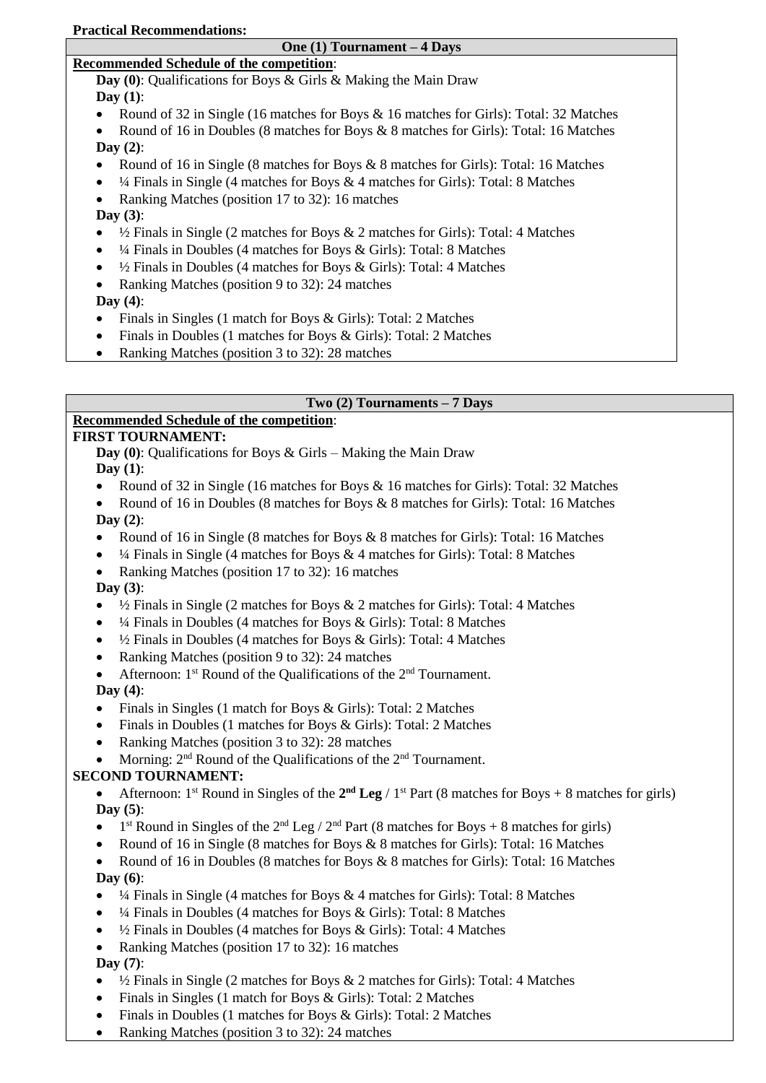**Practical Recommendations:**

## **One (1) Tournament – 4 Days**

## **Recommended Schedule of the competition**:

**Day (0)**: Qualifications for Boys & Girls & Making the Main Draw **Day (1)**:

• Round of 32 in Single (16 matches for Boys & 16 matches for Girls): Total: 32 Matches

 Round of 16 in Doubles (8 matches for Boys & 8 matches for Girls): Total: 16 Matches **Day (2)**:

- Round of 16 in Single (8 matches for Boys & 8 matches for Girls): Total: 16 Matches
- $\bullet$  <sup>1</sup>/4 Finals in Single (4 matches for Boys & 4 matches for Girls): Total: 8 Matches
- Ranking Matches (position 17 to 32): 16 matches

**Day (3)**:

- $\bullet$   $\frac{1}{2}$  Finals in Single (2 matches for Boys & 2 matches for Girls): Total: 4 Matches
- ¼ Finals in Doubles (4 matches for Boys & Girls): Total: 8 Matches
- ½ Finals in Doubles (4 matches for Boys & Girls): Total: 4 Matches
- Ranking Matches (position 9 to 32): 24 matches

## **Day (4)**:

- Finals in Singles (1 match for Boys & Girls): Total: 2 Matches
- Finals in Doubles (1 matches for Boys & Girls): Total: 2 Matches
- Ranking Matches (position 3 to 32): 28 matches

## **Two (2) Tournaments – 7 Days**

## **Recommended Schedule of the competition**:

## **FIRST TOURNAMENT:**

**Day (0)**: Qualifications for Boys & Girls – Making the Main Draw **Day (1)**:

- Round of 32 in Single (16 matches for Boys & 16 matches for Girls): Total: 32 Matches
- Round of 16 in Doubles (8 matches for Boys & 8 matches for Girls): Total: 16 Matches **Day (2)**:
- Round of 16 in Single (8 matches for Boys & 8 matches for Girls): Total: 16 Matches
- $\bullet$   $\frac{1}{4}$  Finals in Single (4 matches for Boys & 4 matches for Girls): Total: 8 Matches
- Ranking Matches (position 17 to 32): 16 matches

## **Day (3)**:

- $\bullet$   $\frac{1}{2}$  Finals in Single (2 matches for Boys & 2 matches for Girls): Total: 4 Matches
- ¼ Finals in Doubles (4 matches for Boys & Girls): Total: 8 Matches
- ½ Finals in Doubles (4 matches for Boys & Girls): Total: 4 Matches
- Ranking Matches (position 9 to 32): 24 matches
- Afternoon:  $1^{st}$  Round of the Qualifications of the  $2^{nd}$  Tournament.

## **Day (4)**:

- Finals in Singles (1 match for Boys & Girls): Total: 2 Matches
- Finals in Doubles (1 matches for Boys & Girls): Total: 2 Matches
- Ranking Matches (position 3 to 32): 28 matches
- Morning:  $2<sup>nd</sup>$  Round of the Qualifications of the  $2<sup>nd</sup>$  Tournament.

## **SECOND TOURNAMENT:**

• Afternoon: 1<sup>st</sup> Round in Singles of the  $2<sup>nd</sup>$  **Leg** / 1<sup>st</sup> Part (8 matches for Boys + 8 matches for girls) **Day (5)**:

- 1<sup>st</sup> Round in Singles of the 2<sup>nd</sup> Leg / 2<sup>nd</sup> Part (8 matches for Boys + 8 matches for girls)
- Round of 16 in Single (8 matches for Boys & 8 matches for Girls): Total: 16 Matches
- Round of 16 in Doubles (8 matches for Boys & 8 matches for Girls): Total: 16 Matches **Day (6)**:
- 
- ¼ Finals in Single (4 matches for Boys & 4 matches for Girls): Total: 8 Matches
- ¼ Finals in Doubles (4 matches for Boys & Girls): Total: 8 Matches
- ½ Finals in Doubles (4 matches for Boys & Girls): Total: 4 Matches
- Ranking Matches (position 17 to 32): 16 matches

## **Day (7)**:

- $\bullet$   $\frac{1}{2}$  Finals in Single (2 matches for Boys & 2 matches for Girls): Total: 4 Matches
- Finals in Singles (1 match for Boys & Girls): Total: 2 Matches
- Finals in Doubles (1 matches for Boys & Girls): Total: 2 Matches
- Ranking Matches (position 3 to 32): 24 matches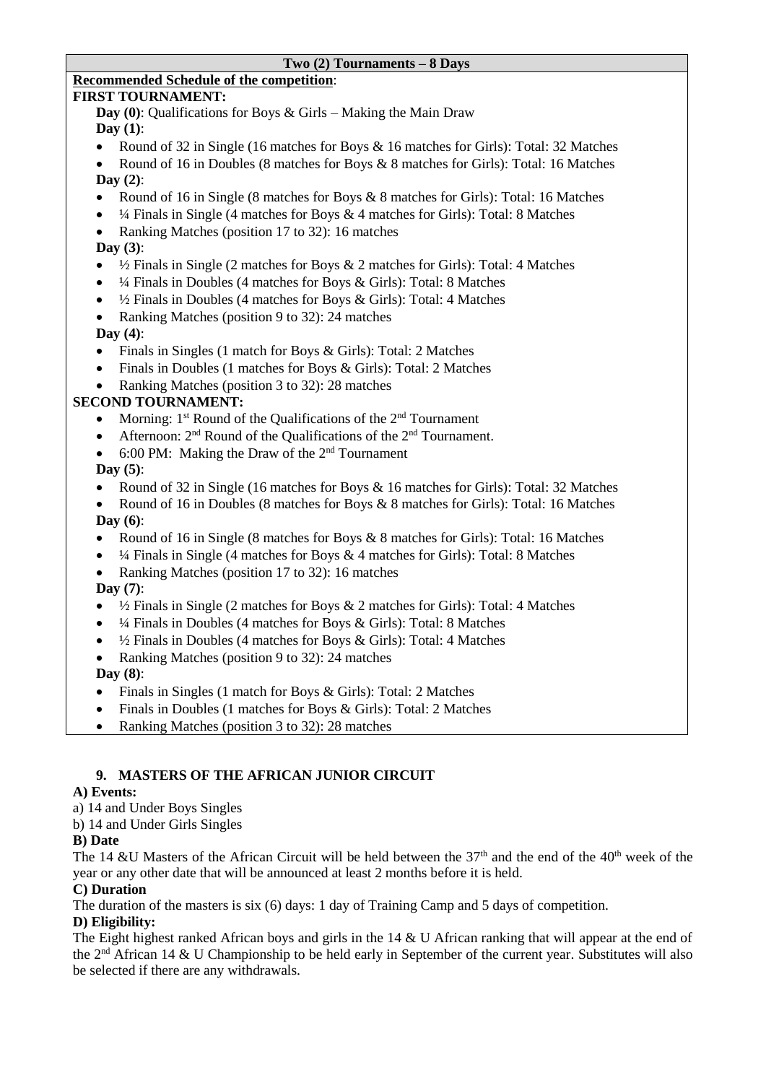### **Two (2) Tournaments – 8 Days**

### **Recommended Schedule of the competition**:

### **FIRST TOURNAMENT:**

- **Day (0)**: Qualifications for Boys & Girls Making the Main Draw **Day (1)**:
- Round of 32 in Single (16 matches for Boys & 16 matches for Girls): Total: 32 Matches
- Round of 16 in Doubles (8 matches for Boys & 8 matches for Girls): Total: 16 Matches **Day (2)**:
- Round of 16 in Single (8 matches for Boys & 8 matches for Girls): Total: 16 Matches
- $\bullet$   $\frac{1}{4}$  Finals in Single (4 matches for Boys & 4 matches for Girls): Total: 8 Matches
- Ranking Matches (position 17 to 32): 16 matches

## **Day (3)**:

- $\bullet$   $\frac{1}{2}$  Finals in Single (2 matches for Boys & 2 matches for Girls): Total: 4 Matches
- ¼ Finals in Doubles (4 matches for Boys & Girls): Total: 8 Matches
- ½ Finals in Doubles (4 matches for Boys & Girls): Total: 4 Matches
- Ranking Matches (position 9 to 32): 24 matches

## **Day (4)**:

- Finals in Singles (1 match for Boys & Girls): Total: 2 Matches
- Finals in Doubles (1 matches for Boys & Girls): Total: 2 Matches
- Ranking Matches (position 3 to 32): 28 matches

## **SECOND TOURNAMENT:**

- Morning:  $1^{st}$  Round of the Qualifications of the  $2^{nd}$  Tournament
- Afternoon: 2<sup>nd</sup> Round of the Qualifications of the 2<sup>nd</sup> Tournament.
- $\bullet$  6:00 PM: Making the Draw of the 2<sup>nd</sup> Tournament

## **Day (5)**:

- Round of 32 in Single (16 matches for Boys & 16 matches for Girls): Total: 32 Matches
- Round of 16 in Doubles (8 matches for Boys & 8 matches for Girls): Total: 16 Matches
- **Day (6)**:
- Round of 16 in Single (8 matches for Boys & 8 matches for Girls): Total: 16 Matches
- $\bullet$   $\frac{1}{4}$  Finals in Single (4 matches for Boys & 4 matches for Girls): Total: 8 Matches
- Ranking Matches (position 17 to 32): 16 matches

## **Day (7)**:

- $\bullet$   $\frac{1}{2}$  Finals in Single (2 matches for Boys & 2 matches for Girls): Total: 4 Matches
- ¼ Finals in Doubles (4 matches for Boys & Girls): Total: 8 Matches
- ½ Finals in Doubles (4 matches for Boys & Girls): Total: 4 Matches
- Ranking Matches (position 9 to 32): 24 matches

## **Day (8)**:

- Finals in Singles (1 match for Boys & Girls): Total: 2 Matches
- Finals in Doubles (1 matches for Boys & Girls): Total: 2 Matches
- Ranking Matches (position 3 to 32): 28 matches

## **9. MASTERS OF THE AFRICAN JUNIOR CIRCUIT**

## **A) Events:**

- a) 14 and Under Boys Singles
- b) 14 and Under Girls Singles

## **B) Date**

The 14 &U Masters of the African Circuit will be held between the  $37<sup>th</sup>$  and the end of the 40<sup>th</sup> week of the year or any other date that will be announced at least 2 months before it is held.

## **C) Duration**

The duration of the masters is six (6) days: 1 day of Training Camp and 5 days of competition.

## **D) Eligibility:**

The Eight highest ranked African boys and girls in the 14 & U African ranking that will appear at the end of the 2nd African 14 & U Championship to be held early in September of the current year. Substitutes will also be selected if there are any withdrawals.